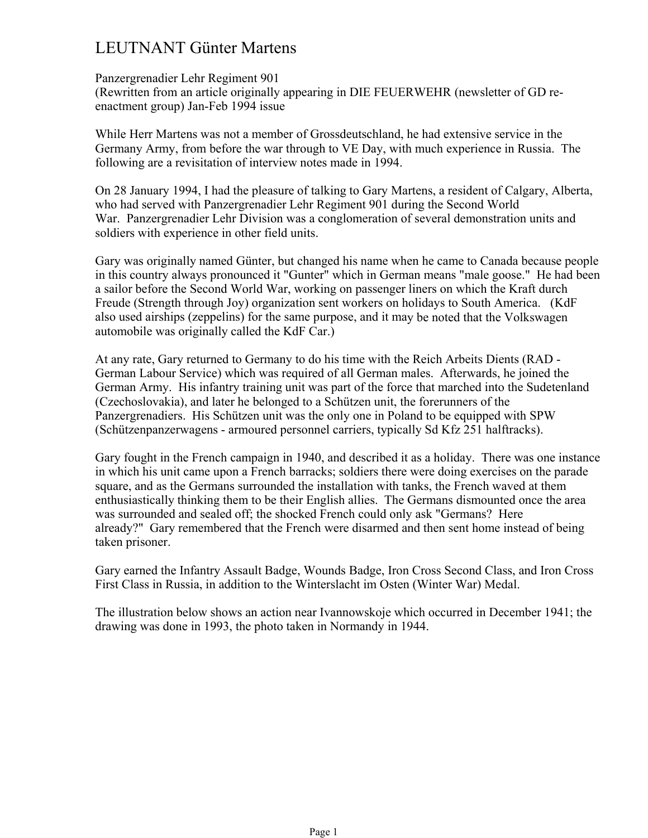## LEUTNANT Günter Martens

## Panzergrenadier Lehr Regiment 901

(Rewritten from an article originally appearing in DIE FEUERWEHR (newsletter of GD reenactment group) Jan-Feb 1994 issue

While Herr Martens was not a member of Grossdeutschland, he had extensive service in the Germany Army, from before the war through to VE Day, with much experience in Russia. The following are a revisitation of interview notes made in 1994.

On 28 January 1994, I had the pleasure of talking to Gary Martens, a resident of Calgary, Alberta, who had served with Panzergrenadier Lehr Regiment 901 during the Second World War. Panzergrenadier Lehr Division was a conglomeration of several demonstration units and soldiers with experience in other field units.

Gary was originally named Günter, but changed his name when he came to Canada because people in this country always pronounced it "Gunter" which in German means "male goose." He had been a sailor before the Second World War, working on passenger liners on which the Kraft durch Freude (Strength through Joy) organization sent workers on holidays to South America. (KdF also used airships (zeppelins) for the same purpose, and it may be noted that the Volkswagen automobile was originally called the KdF Car.)

At any rate, Gary returned to Germany to do his time with the Reich Arbeits Dients (RAD - German Labour Service) which was required of all German males. Afterwards, he joined the German Army. His infantry training unit was part of the force that marched into the Sudetenland (Czechoslovakia), and later he belonged to a Schützen unit, the forerunners of the Panzergrenadiers. His Schützen unit was the only one in Poland to be equipped with SPW (Schützenpanzerwagens - armoured personnel carriers, typically Sd Kfz 251 halftracks).

Gary fought in the French campaign in 1940, and described it as a holiday. There was one instance in which his unit came upon a French barracks; soldiers there were doing exercises on the parade square, and as the Germans surrounded the installation with tanks, the French waved at them enthusiastically thinking them to be their English allies. The Germans dismounted once the area was surrounded and sealed off; the shocked French could only ask "Germans? Here already?" Gary remembered that the French were disarmed and then sent home instead of being taken prisoner.

Gary earned the Infantry Assault Badge, Wounds Badge, Iron Cross Second Class, and Iron Cross First Class in Russia, in addition to the Winterslacht im Osten (Winter War) Medal.

The illustration below shows an action near Ivannowskoje which occurred in December 1941; the drawing was done in 1993, the photo taken in Normandy in 1944.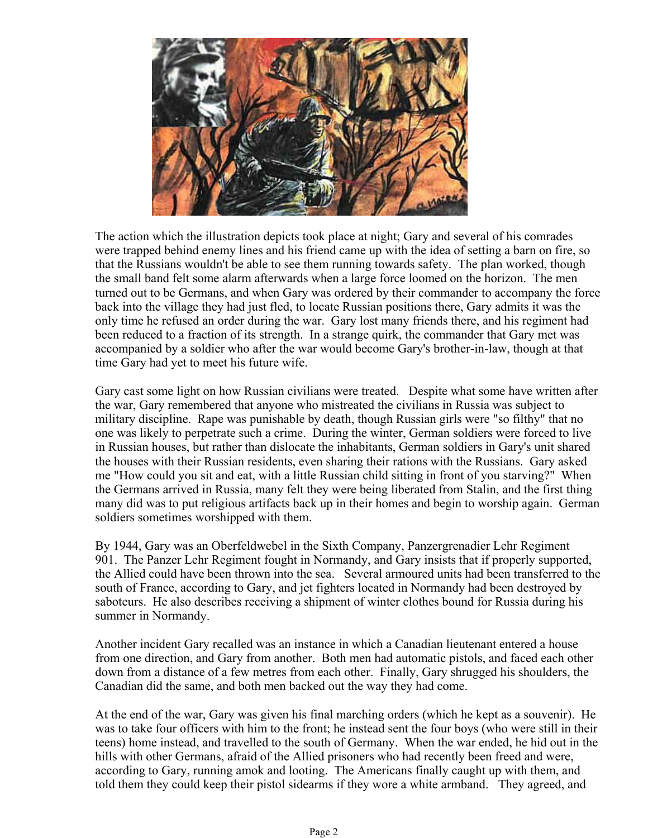

The action which the illustration depicts took place at night; Gary and several of his comrades were trapped behind enemy lines and his friend came up with the idea of setting a barn on fire, so that the Russians wouldn't be able to see them running towards safety. The plan worked, though the small band felt some alarm afterwards when a large force loomed on the horizon. The men turned out to be Germans, and when Gary was ordered by their commander to accompany the force back into the village they had just fled, to locate Russian positions there, Gary admits it was the only time he refused an order during the war. Gary lost many friends there, and his regiment had been reduced to a fraction of its strength. In a strange quirk, the commander that Gary met was accompanied by a soldier who after the war would become Gary's brother-in-law, though at that time Gary had yet to meet his future wife.

Gary cast some light on how Russian civilians were treated. Despite what some have written after the war, Gary remembered that anyone who mistreated the civilians in Russia was subject to military discipline. Rape was punishable by death, though Russian girls were "so filthy" that no one was likely to perpetrate such a crime. During the winter, German soldiers were forced to live in Russian houses, but rather than dislocate the inhabitants, German soldiers in Gary's unit shared the houses with their Russian residents, even sharing their rations with the Russians. Gary asked me "How could you sit and eat, with a little Russian child sitting in front of you starving?" When the Germans arrived in Russia, many felt they were being liberated from Stalin, and the first thing many did was to put religious artifacts back up in their homes and begin to worship again. German soldiers sometimes worshipped with them.

By 1944, Gary was an Oberfeldwebel in the Sixth Company, Panzergrenadier Lehr Regiment 901. The Panzer Lehr Regiment fought in Normandy, and Gary insists that if properly supported, the Allied could have been thrown into the sea. Several armoured units had been transferred to the south of France, according to Gary, and jet fighters located in Normandy had been destroyed by saboteurs. He also describes receiving a shipment of winter clothes bound for Russia during his summer in Normandy.

Another incident Gary recalled was an instance in which a Canadian lieutenant entered a house from one direction, and Gary from another. Both men had automatic pistols, and faced each other down from a distance of a few metres from each other. Finally, Gary shrugged his shoulders, the Canadian did the same, and both men backed out the way they had come.

At the end of the war, Gary was given his final marching orders (which he kept as a souvenir). He was to take four officers with him to the front; he instead sent the four boys (who were still in their teens) home instead, and travelled to the south of Germany. When the war ended, he hid out in the hills with other Germans, afraid of the Allied prisoners who had recently been freed and were, according to Gary, running amok and looting. The Americans finally caught up with them, and told them they could keep their pistol sidearms if they wore a white armband. They agreed, and